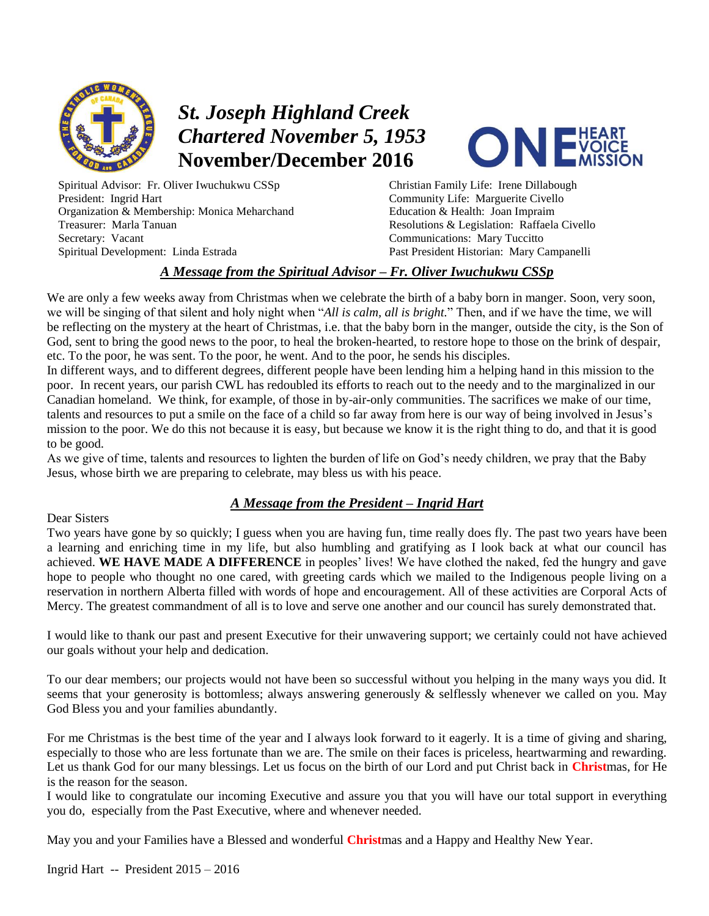

# *St. Joseph Highland Creek Chartered November 5, 1953* **November/December 2016**

Spiritual Advisor: Fr. Oliver Iwuchukwu CSSp President: Ingrid Hart Organization & Membership: Monica Meharchand Treasurer: Marla Tanuan Secretary: Vacant Spiritual Development: Linda Estrada



Christian Family Life: Irene Dillabough Community Life: Marguerite Civello Education & Health: Joan Impraim Resolutions & Legislation: Raffaela Civello Communications: Mary Tuccitto Past President Historian: Mary Campanelli

#### *A Message from the Spiritual Advisor – Fr. Oliver Iwuchukwu CSSp*

We are only a few weeks away from Christmas when we celebrate the birth of a baby born in manger. Soon, very soon, we will be singing of that silent and holy night when "*All is calm, all is bright.*" Then, and if we have the time, we will be reflecting on the mystery at the heart of Christmas, i.e. that the baby born in the manger, outside the city, is the Son of God, sent to bring the good news to the poor, to heal the broken-hearted, to restore hope to those on the brink of despair, etc. To the poor, he was sent. To the poor, he went. And to the poor, he sends his disciples.

In different ways, and to different degrees, different people have been lending him a helping hand in this mission to the poor. In recent years, our parish CWL has redoubled its efforts to reach out to the needy and to the marginalized in our Canadian homeland. We think, for example, of those in by-air-only communities. The sacrifices we make of our time, talents and resources to put a smile on the face of a child so far away from here is our way of being involved in Jesus's mission to the poor. We do this not because it is easy, but because we know it is the right thing to do, and that it is good to be good.

As we give of time, talents and resources to lighten the burden of life on God's needy children, we pray that the Baby Jesus, whose birth we are preparing to celebrate, may bless us with his peace.

### *A Message from the President – Ingrid Hart*

#### Dear Sisters

Two years have gone by so quickly; I guess when you are having fun, time really does fly. The past two years have been a learning and enriching time in my life, but also humbling and gratifying as I look back at what our council has achieved. **WE HAVE MADE A DIFFERENCE** in peoples' lives! We have clothed the naked, fed the hungry and gave hope to people who thought no one cared, with greeting cards which we mailed to the Indigenous people living on a reservation in northern Alberta filled with words of hope and encouragement. All of these activities are Corporal Acts of Mercy. The greatest commandment of all is to love and serve one another and our council has surely demonstrated that.

I would like to thank our past and present Executive for their unwavering support; we certainly could not have achieved our goals without your help and dedication.

To our dear members; our projects would not have been so successful without you helping in the many ways you did. It seems that your generosity is bottomless; always answering generously & selflessly whenever we called on you. May God Bless you and your families abundantly.

For me Christmas is the best time of the year and I always look forward to it eagerly. It is a time of giving and sharing, especially to those who are less fortunate than we are. The smile on their faces is priceless, heartwarming and rewarding. Let us thank God for our many blessings. Let us focus on the birth of our Lord and put Christ back in **Christ**mas, for He is the reason for the season.

I would like to congratulate our incoming Executive and assure you that you will have our total support in everything you do, especially from the Past Executive, where and whenever needed.

May you and your Families have a Blessed and wonderful **Christ**mas and a Happy and Healthy New Year.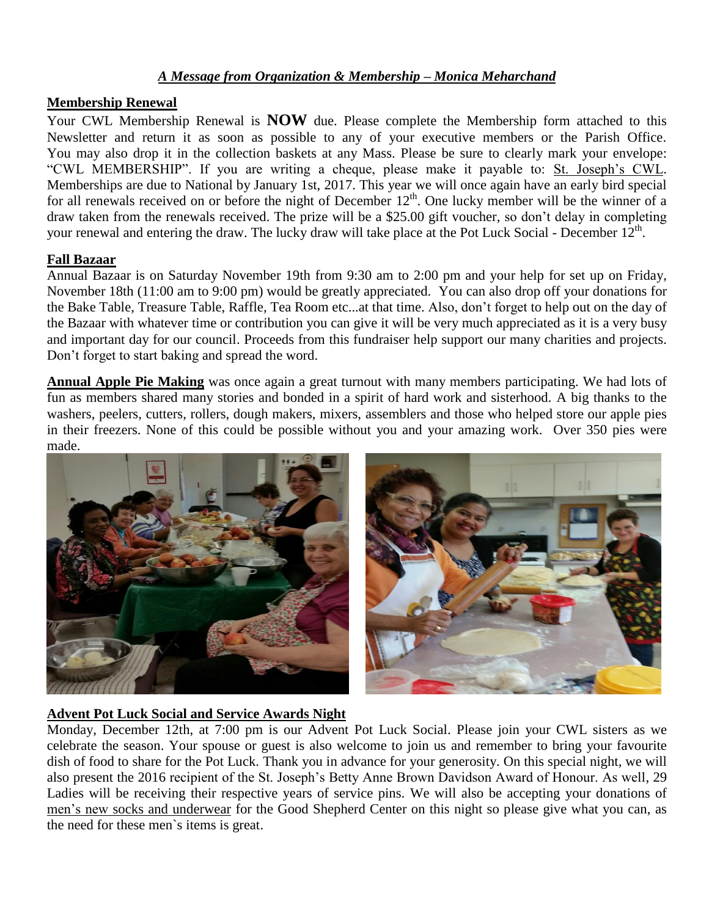### *A Message from Organization & Membership – Monica Meharchand*

#### **Membership Renewal**

Your CWL Membership Renewal is **NOW** due. Please complete the Membership form attached to this Newsletter and return it as soon as possible to any of your executive members or the Parish Office. You may also drop it in the collection baskets at any Mass. Please be sure to clearly mark your envelope: "CWL MEMBERSHIP". If you are writing a cheque, please make it payable to: St. Joseph's CWL. Memberships are due to National by January 1st, 2017. This year we will once again have an early bird special for all renewals received on or before the night of December 12<sup>th</sup>. One lucky member will be the winner of a draw taken from the renewals received. The prize will be a \$25.00 gift voucher, so don't delay in completing your renewal and entering the draw. The lucky draw will take place at the Pot Luck Social - December  $12<sup>th</sup>$ .

#### **Fall Bazaar**

Annual Bazaar is on Saturday November 19th from 9:30 am to 2:00 pm and your help for set up on Friday, November 18th (11:00 am to 9:00 pm) would be greatly appreciated. You can also drop off your donations for the Bake Table, Treasure Table, Raffle, Tea Room etc...at that time. Also, don't forget to help out on the day of the Bazaar with whatever time or contribution you can give it will be very much appreciated as it is a very busy and important day for our council. Proceeds from this fundraiser help support our many charities and projects. Don't forget to start baking and spread the word.

**Annual Apple Pie Making** was once again a great turnout with many members participating. We had lots of fun as members shared many stories and bonded in a spirit of hard work and sisterhood. A big thanks to the washers, peelers, cutters, rollers, dough makers, mixers, assemblers and those who helped store our apple pies in their freezers. None of this could be possible without you and your amazing work. Over 350 pies were made.



### **Advent Pot Luck Social and Service Awards Night**

Monday, December 12th, at 7:00 pm is our Advent Pot Luck Social. Please join your CWL sisters as we celebrate the season. Your spouse or guest is also welcome to join us and remember to bring your favourite dish of food to share for the Pot Luck. Thank you in advance for your generosity. On this special night, we will also present the 2016 recipient of the St. Joseph's Betty Anne Brown Davidson Award of Honour. As well, 29 Ladies will be receiving their respective years of service pins. We will also be accepting your donations of men's new socks and underwear for the Good Shepherd Center on this night so please give what you can, as the need for these men`s items is great.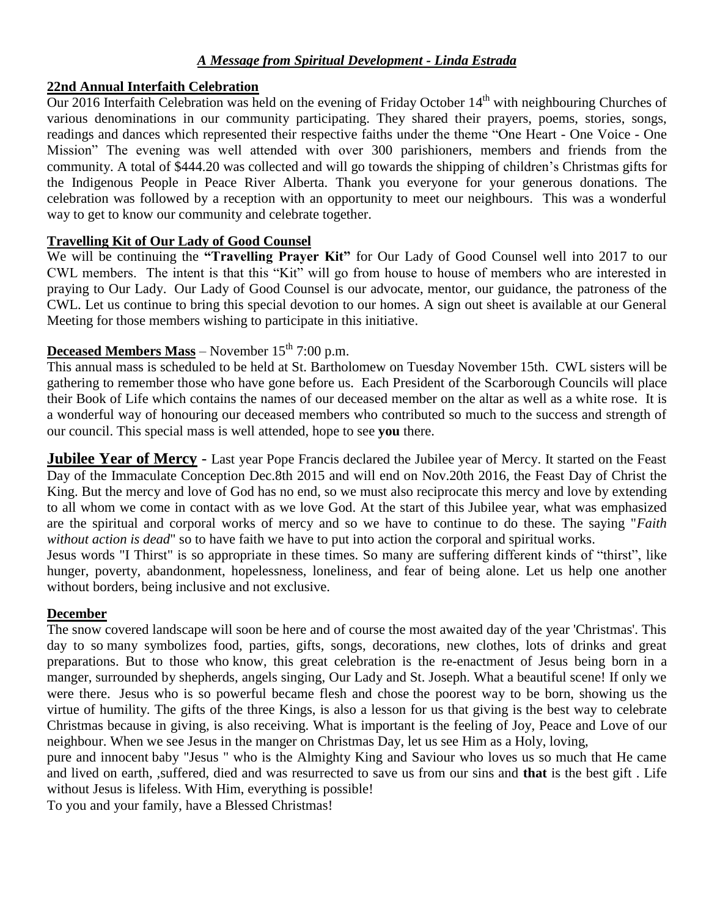### *A Message from Spiritual Development - Linda Estrada*

#### **22nd Annual Interfaith Celebration**

Our 2016 Interfaith Celebration was held on the evening of Friday October 14<sup>th</sup> with neighbouring Churches of various denominations in our community participating. They shared their prayers, poems, stories, songs, readings and dances which represented their respective faiths under the theme "One Heart - One Voice - One Mission" The evening was well attended with over 300 parishioners, members and friends from the community. A total of \$444.20 was collected and will go towards the shipping of children's Christmas gifts for the Indigenous People in Peace River Alberta. Thank you everyone for your generous donations. The celebration was followed by a reception with an opportunity to meet our neighbours. This was a wonderful way to get to know our community and celebrate together.

### **Travelling Kit of Our Lady of Good Counsel**

We will be continuing the **"Travelling Prayer Kit"** for Our Lady of Good Counsel well into 2017 to our CWL members. The intent is that this "Kit" will go from house to house of members who are interested in praying to Our Lady. Our Lady of Good Counsel is our advocate, mentor, our guidance, the patroness of the CWL. Let us continue to bring this special devotion to our homes. A sign out sheet is available at our General Meeting for those members wishing to participate in this initiative.

### **Deceased Members Mass** – November  $15<sup>th</sup>$  7:00 p.m.

This annual mass is scheduled to be held at St. Bartholomew on Tuesday November 15th. CWL sisters will be gathering to remember those who have gone before us. Each President of the Scarborough Councils will place their Book of Life which contains the names of our deceased member on the altar as well as a white rose. It is a wonderful way of honouring our deceased members who contributed so much to the success and strength of our council. This special mass is well attended, hope to see **you** there.

**Jubilee Year of Mercy** - Last year Pope Francis declared the Jubilee year of Mercy. It started on the Feast Day of the Immaculate Conception Dec.8th 2015 and will end on Nov.20th 2016, the Feast Day of Christ the King. But the mercy and love of God has no end, so we must also reciprocate this mercy and love by extending to all whom we come in contact with as we love God. At the start of this Jubilee year, what was emphasized are the spiritual and corporal works of mercy and so we have to continue to do these. The saying "*Faith without action is dead*" so to have faith we have to put into action the corporal and spiritual works.

Jesus words "I Thirst" is so appropriate in these times. So many are suffering different kinds of "thirst", like hunger, poverty, abandonment, hopelessness, loneliness, and fear of being alone. Let us help one another without borders, being inclusive and not exclusive.

### **December**

The snow covered landscape will soon be here and of course the most awaited day of the year 'Christmas'. This day to so many symbolizes food, parties, gifts, songs, decorations, new clothes, lots of drinks and great preparations. But to those who know, this great celebration is the re-enactment of Jesus being born in a manger, surrounded by shepherds, angels singing, Our Lady and St. Joseph. What a beautiful scene! If only we were there. Jesus who is so powerful became flesh and chose the poorest way to be born, showing us the virtue of humility. The gifts of the three Kings, is also a lesson for us that giving is the best way to celebrate Christmas because in giving, is also receiving. What is important is the feeling of Joy, Peace and Love of our neighbour. When we see Jesus in the manger on Christmas Day, let us see Him as a Holy, loving,

pure and innocent baby "Jesus " who is the Almighty King and Saviour who loves us so much that He came and lived on earth, ,suffered, died and was resurrected to save us from our sins and **that** is the best gift . Life without Jesus is lifeless. With Him, everything is possible!

To you and your family, have a Blessed Christmas!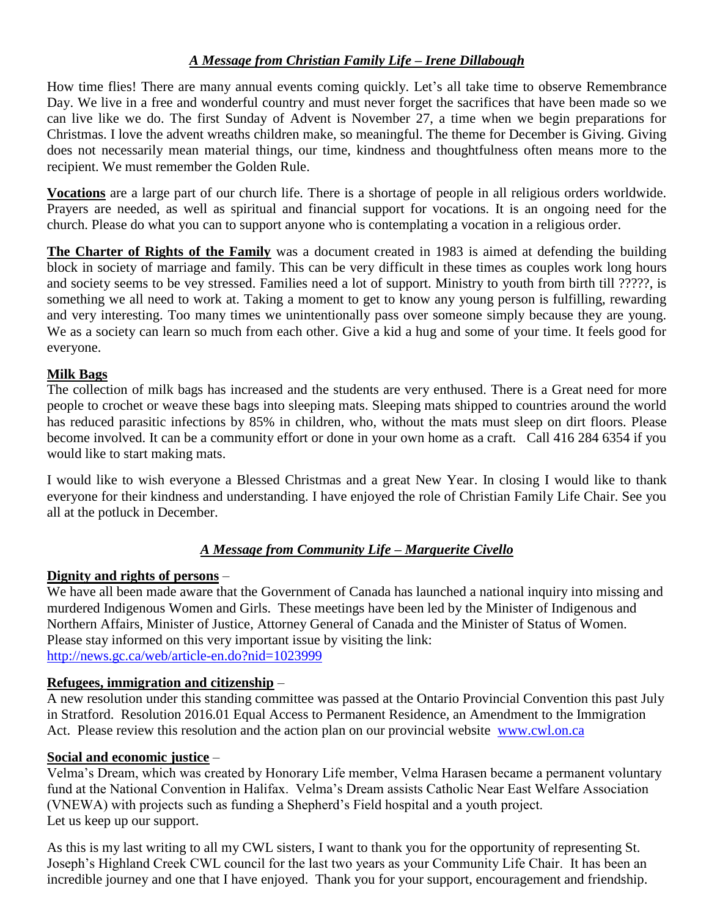# *A Message from Christian Family Life – Irene Dillabough*

How time flies! There are many annual events coming quickly. Let's all take time to observe Remembrance Day. We live in a free and wonderful country and must never forget the sacrifices that have been made so we can live like we do. The first Sunday of Advent is November 27, a time when we begin preparations for Christmas. I love the advent wreaths children make, so meaningful. The theme for December is Giving. Giving does not necessarily mean material things, our time, kindness and thoughtfulness often means more to the recipient. We must remember the Golden Rule.

**Vocations** are a large part of our church life. There is a shortage of people in all religious orders worldwide. Prayers are needed, as well as spiritual and financial support for vocations. It is an ongoing need for the church. Please do what you can to support anyone who is contemplating a vocation in a religious order.

**The Charter of Rights of the Family** was a document created in 1983 is aimed at defending the building block in society of marriage and family. This can be very difficult in these times as couples work long hours and society seems to be vey stressed. Families need a lot of support. Ministry to youth from birth till ?????, is something we all need to work at. Taking a moment to get to know any young person is fulfilling, rewarding and very interesting. Too many times we unintentionally pass over someone simply because they are young. We as a society can learn so much from each other. Give a kid a hug and some of your time. It feels good for everyone.

### **Milk Bags**

The collection of milk bags has increased and the students are very enthused. There is a Great need for more people to crochet or weave these bags into sleeping mats. Sleeping mats shipped to countries around the world has reduced parasitic infections by 85% in children, who, without the mats must sleep on dirt floors. Please become involved. It can be a community effort or done in your own home as a craft. Call 416 284 6354 if you would like to start making mats.

I would like to wish everyone a Blessed Christmas and a great New Year. In closing I would like to thank everyone for their kindness and understanding. I have enjoyed the role of Christian Family Life Chair. See you all at the potluck in December.

# *A Message from Community Life – Marguerite Civello*

# **Dignity and rights of persons** –

We have all been made aware that the Government of Canada has launched a national inquiry into missing and murdered Indigenous Women and Girls. These meetings have been led by the Minister of Indigenous and Northern Affairs, Minister of Justice, Attorney General of Canada and the Minister of Status of Women. Please stay informed on this very important issue by visiting the link: <http://news.gc.ca/web/article-en.do?nid=1023999>

# **Refugees, immigration and citizenship** –

A new resolution under this standing committee was passed at the Ontario Provincial Convention this past July in Stratford. Resolution 2016.01 Equal Access to Permanent Residence, an Amendment to the Immigration Act. Please review this resolution and the action plan on our provincial website www.cwl.on.ca

### **Social and economic justice** –

Velma's Dream, which was created by Honorary Life member, Velma Harasen became a permanent voluntary fund at the National Convention in Halifax. Velma's Dream assists Catholic Near East Welfare Association (VNEWA) with projects such as funding a Shepherd's Field hospital and a youth project. Let us keep up our support.

As this is my last writing to all my CWL sisters, I want to thank you for the opportunity of representing St. Joseph's Highland Creek CWL council for the last two years as your Community Life Chair. It has been an incredible journey and one that I have enjoyed. Thank you for your support, encouragement and friendship.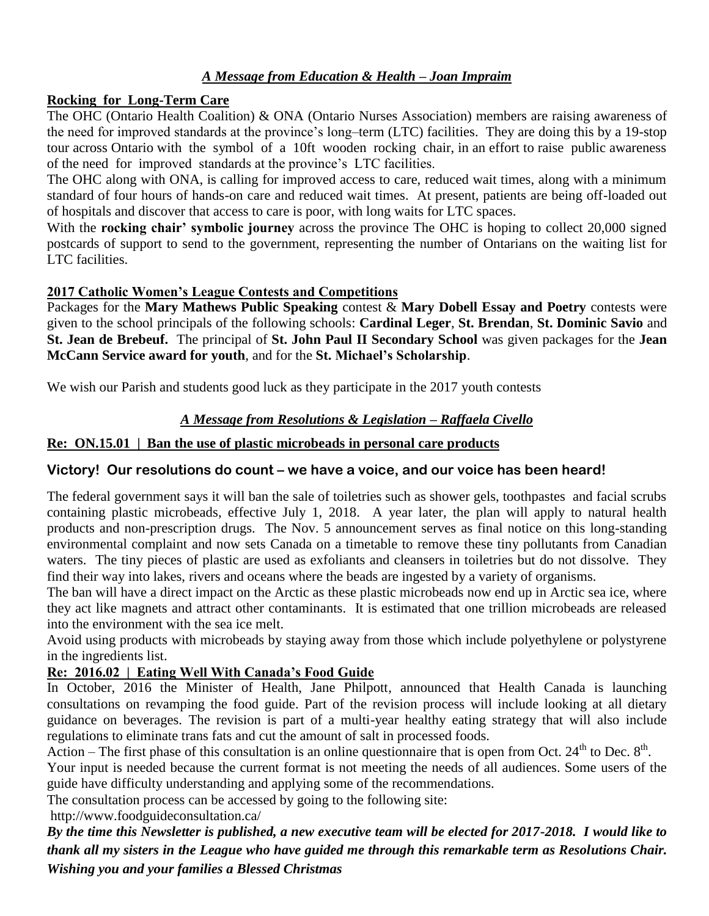# *A Message from Education & Health – Joan Impraim*

### **Rocking for Long-Term Care**

The OHC (Ontario Health Coalition) & ONA (Ontario Nurses Association) members are raising awareness of the need for improved standards at the province's long–term (LTC) facilities. They are doing this by a 19-stop tour across Ontario with the symbol of a 10ft wooden rocking chair, in an effort to raise public awareness of the need for improved standards at the province's LTC facilities.

The OHC along with ONA, is calling for improved access to care, reduced wait times, along with a minimum standard of four hours of hands-on care and reduced wait times. At present, patients are being off-loaded out of hospitals and discover that access to care is poor, with long waits for LTC spaces.

With the **rocking chair' symbolic journey** across the province The OHC is hoping to collect 20,000 signed postcards of support to send to the government, representing the number of Ontarians on the waiting list for LTC facilities.

### **2017 Catholic Women's League Contests and Competitions**

Packages for the **Mary Mathews Public Speaking** contest & **Mary Dobell Essay and Poetry** contests were given to the school principals of the following schools: **Cardinal Leger**, **St. Brendan**, **St. Dominic Savio** and **St. Jean de Brebeuf.** The principal of **St. John Paul II Secondary School** was given packages for the **Jean McCann Service award for youth**, and for the **St. Michael's Scholarship**.

We wish our Parish and students good luck as they participate in the 2017 youth contests

# *A Message from Resolutions & Legislation – Raffaela Civello*

# **Re: ON.15.01 | Ban the use of plastic microbeads in personal care products**

# **Victory! Our resolutions do count – we have a voice, and our voice has been heard!**

The federal government says it will ban the sale of toiletries such as shower gels, toothpastes and facial scrubs containing plastic microbeads, effective July 1, 2018. A year later, the plan will apply to natural health products and non-prescription drugs. The Nov. 5 announcement serves as final notice on this long-standing environmental complaint and now sets Canada on a timetable to remove these tiny pollutants from Canadian waters. The tiny pieces of plastic are used as exfoliants and cleansers in toiletries but do not dissolve. They find their way into lakes, rivers and oceans where the beads are ingested by a variety of organisms.

The ban will have a direct impact on the Arctic as these plastic microbeads now end up in Arctic sea ice, where they act like magnets and attract other contaminants. It is estimated that one trillion microbeads are released into the environment with the sea ice melt.

Avoid using products with microbeads by staying away from those which include polyethylene or polystyrene in the ingredients list.

# **Re: 2016.02 | Eating Well With Canada's Food Guide**

In October, 2016 the Minister of Health, Jane Philpott, announced that Health Canada is launching consultations on revamping the food guide. Part of the revision process will include looking at all dietary guidance on beverages. The revision is part of a multi-year healthy eating strategy that will also include regulations to eliminate trans fats and cut the amount of salt in processed foods.

Action – The first phase of this consultation is an online questionnaire that is open from Oct. 24<sup>th</sup> to Dec.  $8<sup>th</sup>$ .

Your input is needed because the current format is not meeting the needs of all audiences. Some users of the guide have difficulty understanding and applying some of the recommendations.

The consultation process can be accessed by going to the following site:

<http://www.foodguideconsultation.ca/>

*By the time this Newsletter is published, a new executive team will be elected for 2017-2018. I would like to thank all my sisters in the League who have guided me through this remarkable term as Resolutions Chair. Wishing you and your families a Blessed Christmas*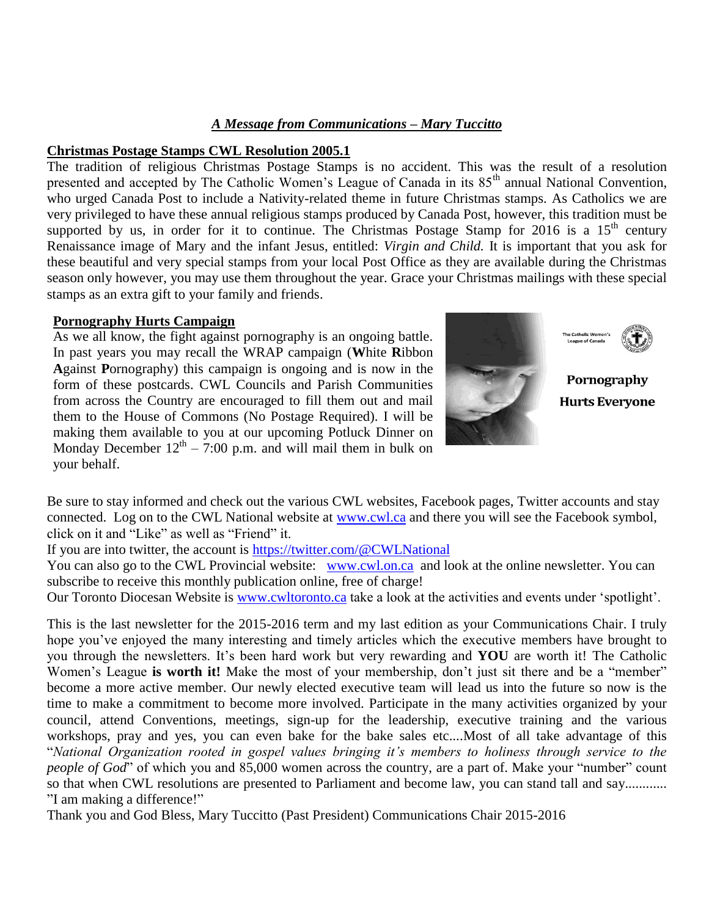#### *A Message from Communications – Mary Tuccitto*

#### **Christmas Postage Stamps CWL Resolution 2005.1**

The tradition of religious Christmas Postage Stamps is no accident. This was the result of a resolution presented and accepted by The Catholic Women's League of Canada in its 85<sup>th</sup> annual National Convention, who urged Canada Post to include a Nativity-related theme in future Christmas stamps. As Catholics we are very privileged to have these annual religious stamps produced by Canada Post, however, this tradition must be supported by us, in order for it to continue. The Christmas Postage Stamp for 2016 is a 15<sup>th</sup> century Renaissance image of Mary and the infant Jesus, entitled: *Virgin and Child.* It is important that you ask for these beautiful and very special stamps from your local Post Office as they are available during the Christmas season only however, you may use them throughout the year. Grace your Christmas mailings with these special stamps as an extra gift to your family and friends.

#### **Pornography Hurts Campaign**

As we all know, the fight against pornography is an ongoing battle. In past years you may recall the WRAP campaign (**W**hite **R**ibbon **A**gainst **P**ornography) this campaign is ongoing and is now in the form of these postcards. CWL Councils and Parish Communities from across the Country are encouraged to fill them out and mail them to the House of Commons (No Postage Required). I will be making them available to you at our upcoming Potluck Dinner on Monday December  $12^{th} - 7:00$  p.m. and will mail them in bulk on your behalf.



Be sure to stay informed and check out the various CWL websites, Facebook pages, Twitter accounts and stay connected. Log on to the CWL National website at [www.cwl.ca](http://www.cwl.ca/) and there you will see the Facebook symbol, click on it and "Like" as well as "Friend" it.

If you are into twitter, the account is<https://twitter.com/@CWLNational>

You can also go to the CWL Provincial website: [www.cwl.on.ca](http://www.cwl.on.ca/) and look at the online newsletter. You can subscribe to receive this monthly publication online, free of charge!

Our Toronto Diocesan Website is [www.cwltoronto.ca](http://www.cwltoronto.ca/) take a look at the activities and events under 'spotlight'.

This is the last newsletter for the 2015-2016 term and my last edition as your Communications Chair. I truly hope you've enjoyed the many interesting and timely articles which the executive members have brought to you through the newsletters. It's been hard work but very rewarding and **YOU** are worth it! The Catholic Women's League **is worth it!** Make the most of your membership, don't just sit there and be a "member" become a more active member. Our newly elected executive team will lead us into the future so now is the time to make a commitment to become more involved. Participate in the many activities organized by your council, attend Conventions, meetings, sign-up for the leadership, executive training and the various workshops, pray and yes, you can even bake for the bake sales etc....Most of all take advantage of this "*National Organization rooted in gospel values bringing it's members to holiness through service to the people of God*" of which you and 85,000 women across the country, are a part of. Make your "number" count so that when CWL resolutions are presented to Parliament and become law, you can stand tall and say........... "I am making a difference!"

Thank you and God Bless, Mary Tuccitto (Past President) Communications Chair 2015-2016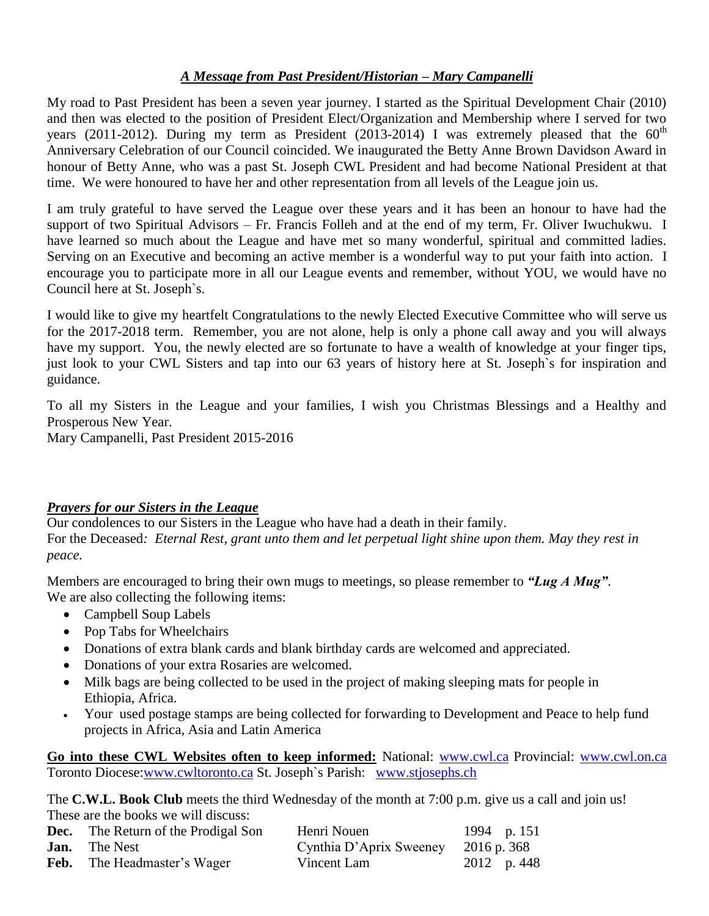### *A Message from Past President/Historian – Mary Campanelli*

My road to Past President has been a seven year journey. I started as the Spiritual Development Chair (2010) and then was elected to the position of President Elect/Organization and Membership where I served for two years (2011-2012). During my term as President (2013-2014) I was extremely pleased that the  $60^{th}$ Anniversary Celebration of our Council coincided. We inaugurated the Betty Anne Brown Davidson Award in honour of Betty Anne, who was a past St. Joseph CWL President and had become National President at that time. We were honoured to have her and other representation from all levels of the League join us.

I am truly grateful to have served the League over these years and it has been an honour to have had the support of two Spiritual Advisors – Fr. Francis Folleh and at the end of my term, Fr. Oliver Iwuchukwu. I have learned so much about the League and have met so many wonderful, spiritual and committed ladies. Serving on an Executive and becoming an active member is a wonderful way to put your faith into action. I encourage you to participate more in all our League events and remember, without YOU, we would have no Council here at St. Joseph`s.

I would like to give my heartfelt Congratulations to the newly Elected Executive Committee who will serve us for the 2017-2018 term. Remember, you are not alone, help is only a phone call away and you will always have my support. You, the newly elected are so fortunate to have a wealth of knowledge at your finger tips, just look to your CWL Sisters and tap into our 63 years of history here at St. Joseph`s for inspiration and guidance.

To all my Sisters in the League and your families, I wish you Christmas Blessings and a Healthy and Prosperous New Year.

Mary Campanelli, Past President 2015-2016

### *Prayers for our Sisters in the League*

Our condolences to our Sisters in the League who have had a death in their family. For the Deceased*: Eternal Rest, grant unto them and let perpetual light shine upon them. May they rest in peace.* 

Members are encouraged to bring their own mugs to meetings, so please remember to *"Lug A Mug"*. We are also collecting the following items:

- Campbell Soup Labels
- Pop Tabs for Wheelchairs
- Donations of extra blank cards and blank birthday cards are welcomed and appreciated.
- Donations of your extra Rosaries are welcomed.
- Milk bags are being collected to be used in the project of making sleeping mats for people in Ethiopia, Africa.
- Your used postage stamps are being collected for forwarding to Development and Peace to help fund projects in Africa, Asia and Latin America

**Go into these CWL Websites often to keep informed:** National: [www.cwl.ca](http://www.cwl.ca/) Provincial: [www.cwl.on.ca](http://www.cwl.on.ca/) Toronto Diocese[:www.cwltoronto.ca](http://www.cwltoronto.ca/) St. Joseph`s Parish: [www.stjosephs.ch](http://www.stjosephs.ch/)

The **C.W.L. Book Club** meets the third Wednesday of the month at 7:00 p.m. give us a call and join us! These are the books we will discuss:

| <b>Dec.</b> The Return of the Prodigal Son | Henri Nouen                         | 1994 p. 151 |
|--------------------------------------------|-------------------------------------|-------------|
| <b>Jan.</b> The Nest                       | Cynthia D'Aprix Sweeney 2016 p. 368 |             |
| <b>Feb.</b> The Headmaster's Wager         | Vincent Lam                         | 2012 p. 448 |